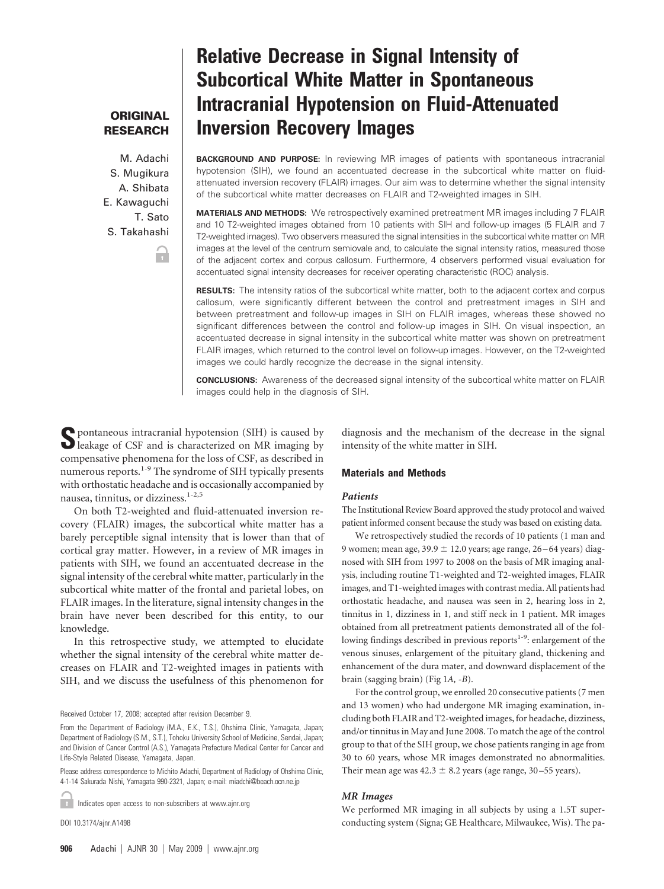## **ORIGINAL RESEARCH**

M. Adachi S. Mugikura A. Shibata E. Kawaguchi T. Sato S. Takahashi

Ħ

# **Relative Decrease in Signal Intensity of Subcortical White Matter in Spontaneous Intracranial Hypotension on Fluid-Attenuated Inversion Recovery Images**

**BACKGROUND AND PURPOSE:** In reviewing MR images of patients with spontaneous intracranial hypotension (SIH), we found an accentuated decrease in the subcortical white matter on fluidattenuated inversion recovery (FLAIR) images. Our aim was to determine whether the signal intensity of the subcortical white matter decreases on FLAIR and T2-weighted images in SIH.

**MATERIALS AND METHODS:** We retrospectively examined pretreatment MR images including 7 FLAIR and 10 T2-weighted images obtained from 10 patients with SIH and follow-up images (5 FLAIR and 7 T2-weighted images). Two observers measured the signal intensities in the subcortical white matter on MR images at the level of the centrum semiovale and, to calculate the signal intensity ratios, measured those of the adjacent cortex and corpus callosum. Furthermore, 4 observers performed visual evaluation for accentuated signal intensity decreases for receiver operating characteristic (ROC) analysis.

**RESULTS:** The intensity ratios of the subcortical white matter, both to the adjacent cortex and corpus callosum, were significantly different between the control and pretreatment images in SIH and between pretreatment and follow-up images in SIH on FLAIR images, whereas these showed no significant differences between the control and follow-up images in SIH. On visual inspection, an accentuated decrease in signal intensity in the subcortical white matter was shown on pretreatment FLAIR images, which returned to the control level on follow-up images. However, on the T2-weighted images we could hardly recognize the decrease in the signal intensity.

**CONCLUSIONS:** Awareness of the decreased signal intensity of the subcortical white matter on FLAIR images could help in the diagnosis of SIH.

intensity of the white matter in SIH.

**S**pontaneous intracranial hypotension (SIH) is caused by leakage of CSF and is characterized on MR imaging by compensative phenomena for the loss of CSF, as described in numerous reports.<sup>1-9</sup> The syndrome of SIH typically presents with orthostatic headache and is occasionally accompanied by nausea, tinnitus, or dizziness.<sup>1-2,5</sup>

On both T2-weighted and fluid-attenuated inversion recovery (FLAIR) images, the subcortical white matter has a barely perceptible signal intensity that is lower than that of cortical gray matter. However, in a review of MR images in patients with SIH, we found an accentuated decrease in the signal intensity of the cerebral white matter, particularly in the subcortical white matter of the frontal and parietal lobes, on FLAIR images. In the literature, signal intensity changes in the brain have never been described for this entity, to our knowledge.

In this retrospective study, we attempted to elucidate whether the signal intensity of the cerebral white matter decreases on FLAIR and T2-weighted images in patients with SIH, and we discuss the usefulness of this phenomenon for

Received October 17, 2008; accepted after revision December 9.

Please address correspondence to Michito Adachi, Department of Radiology of Ohshima Clinic, 4-1-14 Sakurada Nishi, Yamagata 990-2321, Japan; e-mail: miadchi@beach.ocn.ne.jp

Indicates open access to non-subscribers at www.ajnr.org **COL** 

DOI 10.3174/ajnr.A1498

**Materials and Methods**

#### *Patients*

The Institutional Review Board approved the study protocol and waived patient informed consent because the study was based on existing data.

diagnosis and the mechanism of the decrease in the signal

We retrospectively studied the records of 10 patients (1 man and 9 women; mean age,  $39.9 \pm 12.0$  years; age range,  $26 - 64$  years) diagnosed with SIH from 1997 to 2008 on the basis of MR imaging analysis, including routine T1-weighted and T2-weighted images, FLAIR images, and T1-weighted images with contrast media. All patients had orthostatic headache, and nausea was seen in 2, hearing loss in 2, tinnitus in 1, dizziness in 1, and stiff neck in 1 patient. MR images obtained from all pretreatment patients demonstrated all of the following findings described in previous reports<sup>1-9</sup>: enlargement of the venous sinuses, enlargement of the pituitary gland, thickening and enhancement of the dura mater, and downward displacement of the brain (sagging brain) (Fig 1*A, -B*).

For the control group, we enrolled 20 consecutive patients (7 men and 13 women) who had undergone MR imaging examination, including both FLAIR and T2-weighted images, for headache, dizziness, and/or tinnitus in May and June 2008. To match the age of the control group to that of the SIH group, we chose patients ranging in age from 30 to 60 years, whose MR images demonstrated no abnormalities. Their mean age was  $42.3 \pm 8.2$  years (age range, 30–55 years).

### *MR Images*

We performed MR imaging in all subjects by using a 1.5T superconducting system (Signa; GE Healthcare, Milwaukee, Wis). The pa-

From the Department of Radiology (M.A., E.K., T.S.), Ohshima Clinic, Yamagata, Japan; Department of Radiology (S.M., S.T.), Tohoku University School of Medicine, Sendai, Japan; and Division of Cancer Control (A.S.), Yamagata Prefecture Medical Center for Cancer and Life-Style Related Disease, Yamagata, Japan.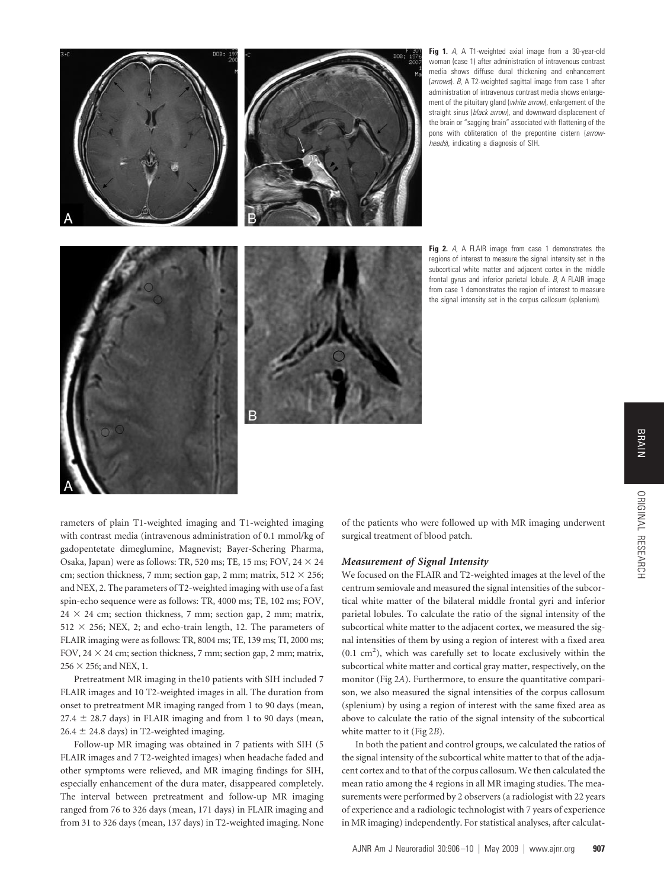

**Fig 1.** *A*, A T1-weighted axial image from a 30-year-old woman (case 1) after administration of intravenous contrast media shows diffuse dural thickening and enhancement (*arrows*). *B*, A T2-weighted sagittal image from case 1 after administration of intravenous contrast media shows enlargement of the pituitary gland (*white arrow*), enlargement of the straight sinus (*black arrow*), and downward displacement of the brain or "sagging brain" associated with flattening of the pons with obliteration of the prepontine cistern (*arrowheads*), indicating a diagnosis of SIH.

**Fig 2.** *A*, A FLAIR image from case 1 demonstrates the regions of interest to measure the signal intensity set in the subcortical white matter and adjacent cortex in the middle frontal gyrus and inferior parietal lobule. *B*, A FLAIR image from case 1 demonstrates the region of interest to measure the signal intensity set in the corpus callosum (splenium).

rameters of plain T1-weighted imaging and T1-weighted imaging with contrast media (intravenous administration of 0.1 mmol/kg of gadopentetate dimeglumine, Magnevist; Bayer-Schering Pharma, Osaka, Japan) were as follows: TR, 520 ms; TE, 15 ms; FOV,  $24 \times 24$ cm; section thickness, 7 mm; section gap, 2 mm; matrix,  $512 \times 256$ ; and NEX, 2. The parameters of T2-weighted imaging with use of a fast spin-echo sequence were as follows: TR, 4000 ms; TE, 102 ms; FOV,  $24 \times 24$  cm; section thickness, 7 mm; section gap, 2 mm; matrix,  $512 \times 256$ ; NEX, 2; and echo-train length, 12. The parameters of FLAIR imaging were as follows: TR, 8004 ms; TE, 139 ms; TI, 2000 ms; FOV,  $24 \times 24$  cm; section thickness, 7 mm; section gap, 2 mm; matrix,  $256 \times 256$ ; and NEX, 1.

Pretreatment MR imaging in the10 patients with SIH included 7 FLAIR images and 10 T2-weighted images in all. The duration from onset to pretreatment MR imaging ranged from 1 to 90 days (mean,  $27.4 \pm 28.7$  days) in FLAIR imaging and from 1 to 90 days (mean,  $26.4 \pm 24.8$  days) in T2-weighted imaging.

Follow-up MR imaging was obtained in 7 patients with SIH (5 FLAIR images and 7 T2-weighted images) when headache faded and other symptoms were relieved, and MR imaging findings for SIH, especially enhancement of the dura mater, disappeared completely. The interval between pretreatment and follow-up MR imaging ranged from 76 to 326 days (mean, 171 days) in FLAIR imaging and from 31 to 326 days (mean, 137 days) in T2-weighted imaging. None of the patients who were followed up with MR imaging underwent surgical treatment of blood patch.

#### *Measurement of Signal Intensity*

We focused on the FLAIR and T2-weighted images at the level of the centrum semiovale and measured the signal intensities of the subcortical white matter of the bilateral middle frontal gyri and inferior parietal lobules. To calculate the ratio of the signal intensity of the subcortical white matter to the adjacent cortex, we measured the signal intensities of them by using a region of interest with a fixed area  $(0.1 \text{ cm}^2)$ , which was carefully set to locate exclusively within the subcortical white matter and cortical gray matter, respectively, on the monitor (Fig 2*A*). Furthermore, to ensure the quantitative comparison, we also measured the signal intensities of the corpus callosum (splenium) by using a region of interest with the same fixed area as above to calculate the ratio of the signal intensity of the subcortical white matter to it (Fig 2*B*).

In both the patient and control groups, we calculated the ratios of the signal intensity of the subcortical white matter to that of the adjacent cortex and to that of the corpus callosum. We then calculated the mean ratio among the 4 regions in all MR imaging studies. The measurements were performed by 2 observers (a radiologist with 22 years of experience and a radiologic technologist with 7 years of experience in MR imaging) independently. For statistical analyses, after calculat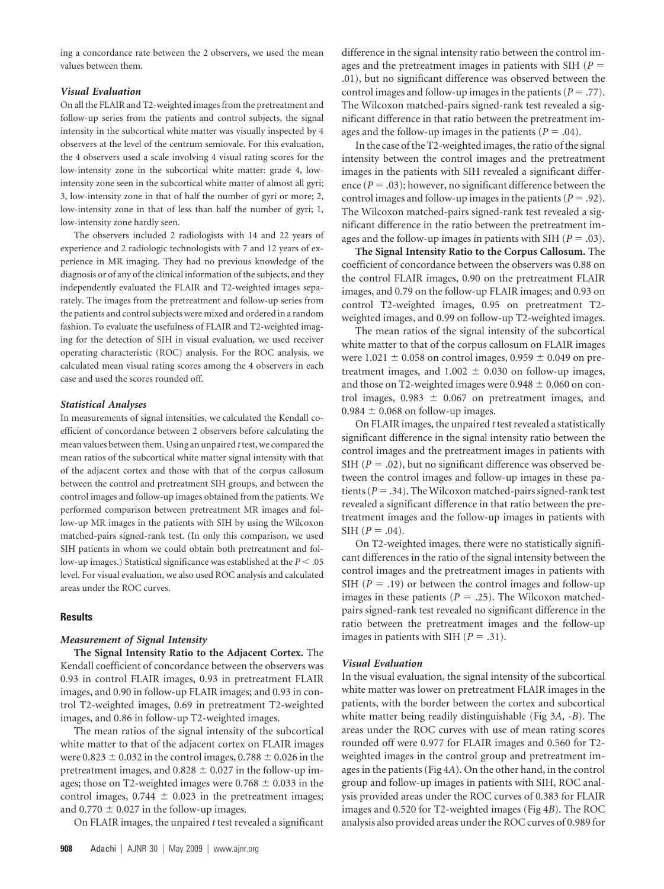ing a concordance rate between the 2 observers, we used the mean values between them.

### *Visual Evaluation*

On all the FLAIR and T2-weighted images from the pretreatment and follow-up series from the patients and control subjects, the signal intensity in the subcortical white matter was visually inspected by 4 observers at the level of the centrum semiovale. For this evaluation, the 4 observers used a scale involving 4 visual rating scores for the low-intensity zone in the subcortical white matter: grade 4, lowintensity zone seen in the subcortical white matter of almost all gyri; 3, low-intensity zone in that of half the number of gyri or more; 2, low-intensity zone in that of less than half the number of gyri; 1, low-intensity zone hardly seen.

The observers included 2 radiologists with 14 and 22 years of experience and 2 radiologic technologists with 7 and 12 years of experience in MR imaging. They had no previous knowledge of the diagnosis or of any of the clinical information of the subjects, and they independently evaluated the FLAIR and T2-weighted images separately. The images from the pretreatment and follow-up series from the patients and control subjects were mixed and ordered in a random fashion. To evaluate the usefulness of FLAIR and T2-weighted imaging for the detection of SIH in visual evaluation, we used receiver operating characteristic (ROC) analysis. For the ROC analysis, we calculated mean visual rating scores among the 4 observers in each case and used the scores rounded off.

## *Statistical Analyses*

In measurements of signal intensities, we calculated the Kendall coefficient of concordance between 2 observers before calculating the mean values between them. Using an unpaired *t*test, we compared the mean ratios of the subcortical white matter signal intensity with that of the adjacent cortex and those with that of the corpus callosum between the control and pretreatment SIH groups, and between the control images and follow-up images obtained from the patients. We performed comparison between pretreatment MR images and follow-up MR images in the patients with SIH by using the Wilcoxon matched-pairs signed-rank test. (In only this comparison, we used SIH patients in whom we could obtain both pretreatment and follow-up images.) Statistical significance was established at the *P* .05 level. For visual evaluation, we also used ROC analysis and calculated areas under the ROC curves.

## **Results**

#### *Measurement of Signal Intensity*

**The Signal Intensity Ratio to the Adjacent Cortex.** The Kendall coefficient of concordance between the observers was 0.93 in control FLAIR images, 0.93 in pretreatment FLAIR images, and 0.90 in follow-up FLAIR images; and 0.93 in control T2-weighted images, 0.69 in pretreatment T2-weighted images, and 0.86 in follow-up T2-weighted images.

The mean ratios of the signal intensity of the subcortical white matter to that of the adjacent cortex on FLAIR images were  $0.823 \pm 0.032$  in the control images,  $0.788 \pm 0.026$  in the pretreatment images, and  $0.828 \pm 0.027$  in the follow-up images; those on T2-weighted images were  $0.768 \pm 0.033$  in the control images,  $0.744 \pm 0.023$  in the pretreatment images; and  $0.770 \pm 0.027$  in the follow-up images.

On FLAIR images, the unpaired *t* test revealed a significant

difference in the signal intensity ratio between the control images and the pretreatment images in patients with SIH (*P* .01), but no significant difference was observed between the control images and follow-up images in the patients  $(P = .77)$ . The Wilcoxon matched-pairs signed-rank test revealed a significant difference in that ratio between the pretreatment images and the follow-up images in the patients ( $P = .04$ ).

In the case of the T2-weighted images, the ratio of the signal intensity between the control images and the pretreatment images in the patients with SIH revealed a significant difference  $(P = .03)$ ; however, no significant difference between the control images and follow-up images in the patients  $(P = .92)$ . The Wilcoxon matched-pairs signed-rank test revealed a significant difference in the ratio between the pretreatment images and the follow-up images in patients with SIH  $(P = .03)$ .

**The Signal Intensity Ratio to the Corpus Callosum.** The coefficient of concordance between the observers was 0.88 on the control FLAIR images, 0.90 on the pretreatment FLAIR images, and 0.79 on the follow-up FLAIR images; and 0.93 on control T2-weighted images, 0.95 on pretreatment T2 weighted images, and 0.99 on follow-up T2-weighted images.

The mean ratios of the signal intensity of the subcortical white matter to that of the corpus callosum on FLAIR images were 1.021  $\pm$  0.058 on control images, 0.959  $\pm$  0.049 on pretreatment images, and  $1.002 \pm 0.030$  on follow-up images, and those on T2-weighted images were  $0.948 \pm 0.060$  on control images,  $0.983 \pm 0.067$  on pretreatment images, and  $0.984 \pm 0.068$  on follow-up images.

On FLAIR images, the unpaired *t* test revealed a statistically significant difference in the signal intensity ratio between the control images and the pretreatment images in patients with SIH  $(P = .02)$ , but no significant difference was observed between the control images and follow-up images in these patients ( $P = .34$ ). The Wilcoxon matched-pairs signed-rank test revealed a significant difference in that ratio between the pretreatment images and the follow-up images in patients with SIH  $(P = .04)$ .

On T2-weighted images, there were no statistically significant differences in the ratio of the signal intensity between the control images and the pretreatment images in patients with SIH ( $P = .19$ ) or between the control images and follow-up images in these patients ( $P = .25$ ). The Wilcoxon matchedpairs signed-rank test revealed no significant difference in the ratio between the pretreatment images and the follow-up images in patients with SIH  $(P = .31)$ .

## *Visual Evaluation*

In the visual evaluation, the signal intensity of the subcortical white matter was lower on pretreatment FLAIR images in the patients, with the border between the cortex and subcortical white matter being readily distinguishable (Fig 3*A*, -*B*). The areas under the ROC curves with use of mean rating scores rounded off were 0.977 for FLAIR images and 0.560 for T2 weighted images in the control group and pretreatment images in the patients (Fig 4*A*). On the other hand, in the control group and follow-up images in patients with SIH, ROC analysis provided areas under the ROC curves of 0.383 for FLAIR images and 0.520 for T2-weighted images (Fig 4*B*). The ROC analysis also provided areas under the ROC curves of 0.989 for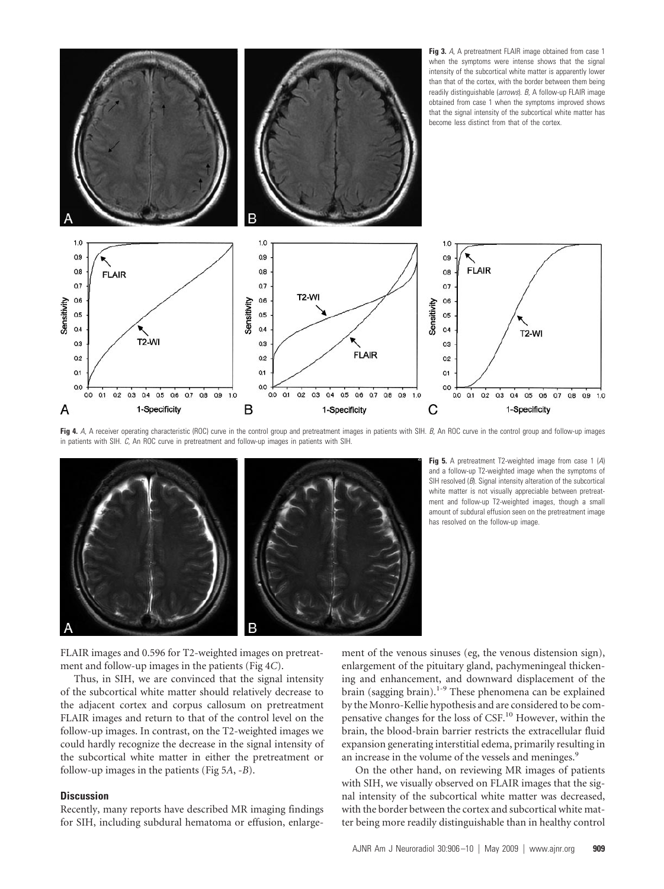

Fig 4. A, A receiver operating characteristic (ROC) curve in the control group and pretreatment images in patients with SIH. *B*, An ROC curve in the control group and follow-up images in patients with SIH. *C*, An ROC curve in pretreatment and follow-up images in patients with SIH.



**Fig 5.** A pretreatment T2-weighted image from case 1 (*A*) and a follow-up T2-weighted image when the symptoms of SIH resolved (*B*). Signal intensity alteration of the subcortical white matter is not visually appreciable between pretreatment and follow-up T2-weighted images, though a small amount of subdural effusion seen on the pretreatment image has resolved on the follow-up image.

FLAIR images and 0.596 for T2-weighted images on pretreatment and follow-up images in the patients (Fig 4*C*).

Thus, in SIH, we are convinced that the signal intensity of the subcortical white matter should relatively decrease to the adjacent cortex and corpus callosum on pretreatment FLAIR images and return to that of the control level on the follow-up images. In contrast, on the T2-weighted images we could hardly recognize the decrease in the signal intensity of the subcortical white matter in either the pretreatment or follow-up images in the patients (Fig 5*A*, -*B*).

#### **Discussion**

Recently, many reports have described MR imaging findings for SIH, including subdural hematoma or effusion, enlargement of the venous sinuses (eg, the venous distension sign), enlargement of the pituitary gland, pachymeningeal thickening and enhancement, and downward displacement of the brain (sagging brain).<sup>1-9</sup> These phenomena can be explained by the Monro-Kellie hypothesis and are considered to be compensative changes for the loss of CSF.<sup>10</sup> However, within the brain, the blood-brain barrier restricts the extracellular fluid expansion generating interstitial edema, primarily resulting in an increase in the volume of the vessels and meninges.<sup>9</sup>

On the other hand, on reviewing MR images of patients with SIH, we visually observed on FLAIR images that the signal intensity of the subcortical white matter was decreased, with the border between the cortex and subcortical white matter being more readily distinguishable than in healthy control